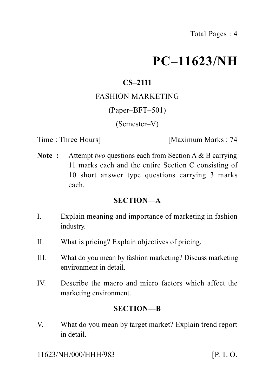# **PC–11623/NH**

## **CS–2111**

#### FASHION MARKETING

#### (Paper–BFT–501)

(Semester–V)

Time : Three Hours **I** [Maximum Marks : 74]

**Note :** Attempt *two* questions each from Section A & B carrying 11 marks each and the entire Section C consisting of 10 short answer type questions carrying 3 marks each.

#### **SECTION—A**

- I. Explain meaning and importance of marketing in fashion industry.
- II. What is pricing? Explain objectives of pricing.
- III. What do you mean by fashion marketing? Discuss marketing environment in detail.
- IV. Describe the macro and micro factors which affect the marketing environment.

#### **SECTION—B**

V. What do you mean by target market? Explain trend report in detail.

11623/NH/000/HHH/983 [P. T. O.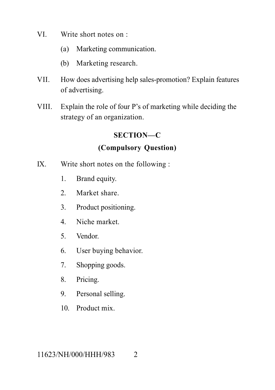- VI. Write short notes on :
	- (a) Marketing communication.
	- (b) Marketing research.
- VII. How does advertising help sales-promotion? Explain features of advertising.
- VIII. Explain the role of four P's of marketing while deciding the strategy of an organization.

#### **SECTION—C**

### **(Compulsory Question)**

- IX. Write short notes on the following :
	- 1. Brand equity.
	- 2. Market share.
	- 3. Product positioning.
	- 4. Niche market.
	- 5. Vendor.
	- 6. User buying behavior.
	- 7. Shopping goods.
	- 8. Pricing.
	- 9. Personal selling.
	- 10. Product mix.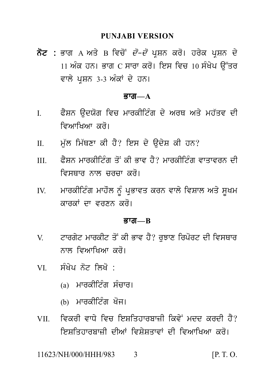PUNJABI VERSION<br>ਨੋਟ : ਭਾਗ A ਅਤੇ B ਵਿਚੋਂ *ਦੋ–ਦੋ* ਪ੍ਰਸ਼ਨ ਕਰੋ। ਹਰੇਕ ਪ੍ਰਸ਼ਨ ਦੇ<br>11 ਅੰਕ ਹਨ। ਭਾਗ C ਸਾਰਾ ਕਰੋ। ਇਸ ਵਿਚ 10 ਸੰਖੇਪ ਉੱਤਰ<br>ਵਾਲੇ ਪਸ਼ਨ 3-3 ਅੰਕਾਂ ਦੇ ਹਨ। PUNJABI VERSION<br>ਭਾਗ A ਅਤੇ B ਵਿਚੋਂ *ਦੋ–ਦੋ* ਪ੍ਰਸ਼ਨ ਕਰੋ। ਹਰੇਕ ਪ੍ਰਸ਼ਨ ਦੇ<br>11 ਅੰਕ ਹਨ। ਭਾਗ C ਸਾਰਾ ਕਰੋ। ਇਸ ਵਿਚ 10 ਸੰਖੇਪ ਉੱਤਰ<br>ਵਾਲੇ ਪ੍ਰਸ਼ਨ 3-3 ਅੰਕਾਂ ਦੇ ਹਨ। **ਨੋਟ :** ਭਾਗ A ਅਤੇ B ਵਿਚੋਂ *ਦੋ–ਦੋ* ਪ੍ਰਸ਼ਨ ਕਰੋ। ਹਰੇਕ ਪ੍ਰਸ਼ਨ ਦੇ<br>11 ਅੰਕ ਹਨ। ਭਾਗ C ਸਾਰਾ ਕਰੋ। ਇਸ ਵਿਚ 10 ਸੰਖੇਪ ਉੱਤਰ<br>ਵਾਲੇ ਪੁਸ਼ਨ 3-3 ਅੰਕਾਂ ਦੇ ਹਨ।

#### $\overline{g}$ ਯ $\overline{m}$  $\overline{a}$

- ਵਾਲੇ ਪ੍ਰਸ਼ਨ 3-3 ਅੰਕਾਂ ਦੇ ਹਨ।<br>**ਭਾਗ—A<br>I. ਫੈਸ਼ਨ ਉਦਯੋਗ ਵਿਚ ਮਾਰਕੀ**ਟਿੰਗ ਦੇ ਅਰਥ ਅਤੇ ਮਹੱਤਵ ਦੀ<br>ਵਿਆਖਿਆ ਕਰੋ।<br>ਸ਼ਾ ਦੇ ਨਾਂ ਦੇ ਕੈਪ ਕਿਹਾ ਕੇ ਉਤੇਸ਼ ਦੀ ਜਾਪ ਭਾਗ—A<br>ਫੈਸ਼ਨ ਉਦਯੋਗ ਵਿਚ ਮਾਰਕੀਟਿੰਗ ਦੇ ਅ<sup>,</sup><br>ਵਿਆਖਿਆ ਕਰੋ।<br>ਮੁੱਲ ਮਿੱਥਣਾ ਕੀ ਹੈ? ਇਸ ਦੇ ਉਦੇਸ਼ ਰ I. ਫੈਸ਼ਨ ਉਦਯੋਗ ਵਿਚ ਮਾਰਕੀਟਿੰਗ ਦੇ ਅਰਥ ਅਤੇ ਮਹੱਤਵ ਦ<br> ਵਿਆਖਿਆ ਕਰੋ।<br>II. ਮੁੱਲ ਮਿੱਥਣਾ ਕੀ ਹੈ? ਇਸ ਦੇ ਉਦੇਸ਼ ਕੀ ਹਨ?<br>III. ਫੈਸ਼ਨ ਮਾਰਕੀਟਿੰਗ ਤੋਂ ਕੀ ਭਾਵ ਹੈ? ਮਾਰਕੀਟਿੰਗ ਵਾਤਾਵਰਨ ਦ
- 
- III. P YSn mwrkIit Mg q oN kI Bwv h Y? mwrkIit Mg vwqwvrn dI ਮੁੱਲ ਮਿੱਥਣਾ ਕੀ ਹੈ? ਇਸ ਦੇ ਉਦੇਸ਼ ਕੀ ਹਨ?<br>ਫੈਸ਼ਨ ਮਾਰਕੀਟਿੰਗ ਤੋਂ ਕੀ ਭਾਵ ਹੈ? ਮਾਰਕੀਟਿੰਗ ਵਾਤਾਵਰਨ ਦੀ<br>ਵਿਸਥਾਰ ਨਾਲ ਚਰਚਾ ਕਰੋ।<br>ਮਾਰਕੀਟਿੰਗ ਮਾਹੌਲ ਨੂੰ ਪ੍ਰਭਾਵਤ ਕਰਨ ਵਾਲੇ ਵਿਸ਼ਾਲ ਅਤੇ ਸੂਖਮ<br>ਕਾਰਕਾਂ ਦਾ ਵਰਣਨ ਕਰੋ। III. ਫੈਸ਼ਨ ਮਾਰਕੀਟਿੰਗ ਤੋਂ ਕੀ ਭਾਵ ਹੈ? ਮਾਰਕੀਟਿੰਗ ਵਾਤਾਵਰਨ ਦੀ<br>ਵਿਸਥਾਰ ਨਾਲ ਚਰਚਾ ਕਰੋ।<br>IV. ਮਾਰਕੀਟਿੰਗ ਮਾਹੌਲ ਨੂੰ ਪ੍ਰਭਾਵਤ ਕਰਨ ਵਾਲੇ ਵਿਸ਼ਾਲ ਅਤੇ ਸੂਖਮ<br>ਕਾਰਕਾਂ ਦਾ ਵਰਣਨ ਕਰੋ।
- ਮਾਰਕੀਟਿੰਗ ਮਾਹੌਲ ਨੰ ਪਭਾਵਤ ਕਰਨ ਵਾਲੇ ਵਿਸ਼ਾਲ ਅਤੇ ਸਖਮ

#### <u>ਭਾਗ—B</u>

- ਕਾਰਕਾਂ ਦਾ ਵਰਣਨ ਕਰੋ।<br>ਭਾਗ—B<br>V. ਟਾਰਗੇਟ ਮਾਰਕੀਟ ਤੋਂ ਕੀ ਭਾਵ ਹੈ? ਰੁਝਾਣ ਰਿਪੋਰਟ ਦੀ ਵਿਸਥਾਰ<br>ਨਾਲ ਵਿਆਖਿਆ ਕਰੋ।<br>ਪੁਲਾ ਦੀ ਤੋਂ ਇੱਕੋ **ਭਾਗ—B<br>ਟਾ**ਰਗੇਟ ਮਾਰਕੀਟ ਤੋਂ ਕੀ ਭਾਵ ਹੈ? ਰੁਝਾਣ ਰਿਪੋਰ<br>ਨਾਲ ਵਿਆਖਿਆ ਕਰੋ।<br>ਸੰਖੇਪ ਨੋਟ ਲਿਖੋ : VI. s MK yp n ot ilK o : ਨਾਲ ਵਿਆਖਿਆ ਕਰੋ।<br>ਸੰਖੇਪ ਨੋਟ ਲਿਖੋ :<br>(a) ਮਾਰਕੀਟਿੰਗ ਸੰਚਾਰ।<br>(b) ਮਾਰਕੀਟਿੰਗ ਖੋਜ।
- -
	-
- ਸੰਖੇਪ ਨੋਟ ਲਿਖੋ :<br>(a) ਮਾਰਕੀਟਿੰਗ ਸੰਚਾਰ।<br>(b) ਮਾਰਕੀਟਿੰਗ ਖੋਜ।<br>ਵਿਕਰੀ ਵਾਧੇ ਵਿਚ ਇਸ਼ਤਿਹਾਰਬਾਜ਼ੀ ਕਿਵੇਂ ਮਦਦ ਕਰਦੀ ਹੈ?<br>ਇਸਤਿਹਾਰਸ਼ਾਜੀ ਦੀਆਂ ਵਿਸ਼ੇਸਤਾਵਾਂ ਦੀ ਵਿਆਖਿਆ ਕਰੋ। <sub>(a)</sub> ਮਾਰਕੀਟਿੰਗ ਸੰਚਾਰ।<br>(b) ਮਾਰਕੀਟਿੰਗ ਖੋਜ।<br>VII. ਵਿਕਰੀ ਵਾਧੇ ਵਿਚ ਇਸ਼ਤਿਹਾਰਬਾਜ਼ੀ ਕਿਵੇਂ ਮਦਦ ਕਰਦੀ ਹੈ?<br>ਇਸ਼ਤਿਹਾਰਬਾਜ਼ੀ ਦੀਆਂ ਵਿਸ਼ੇਸ਼ਤਾਵਾਂ ਦੀ ਵਿਆਖਿਆ ਕਰੋ। (b) ਮਾਰਕੀਟਿੰਗ ਖੋਜ।<br>ਵਿਕਰੀ ਵਾਧੇ ਵਿਚ ਇਸ਼ਤਿਹਾਰਬਾਜ਼ੀ ਕਿਵੇਂ ਮਦਦ ਕਰਦੀ ਹੈ?<br>ਇਸ਼ਤਿਹਾਰਬਾਜ਼ੀ ਦੀਆਂ ਵਿਸ਼ੇਸ਼ਤਾਵਾਂ ਦੀ ਵਿਆਖਿਆ ਕਰੋ।<br>NH/000/HHH/983 3 [P.T.O.

11623/NH/000/HHH/983 3 [P. T. O.